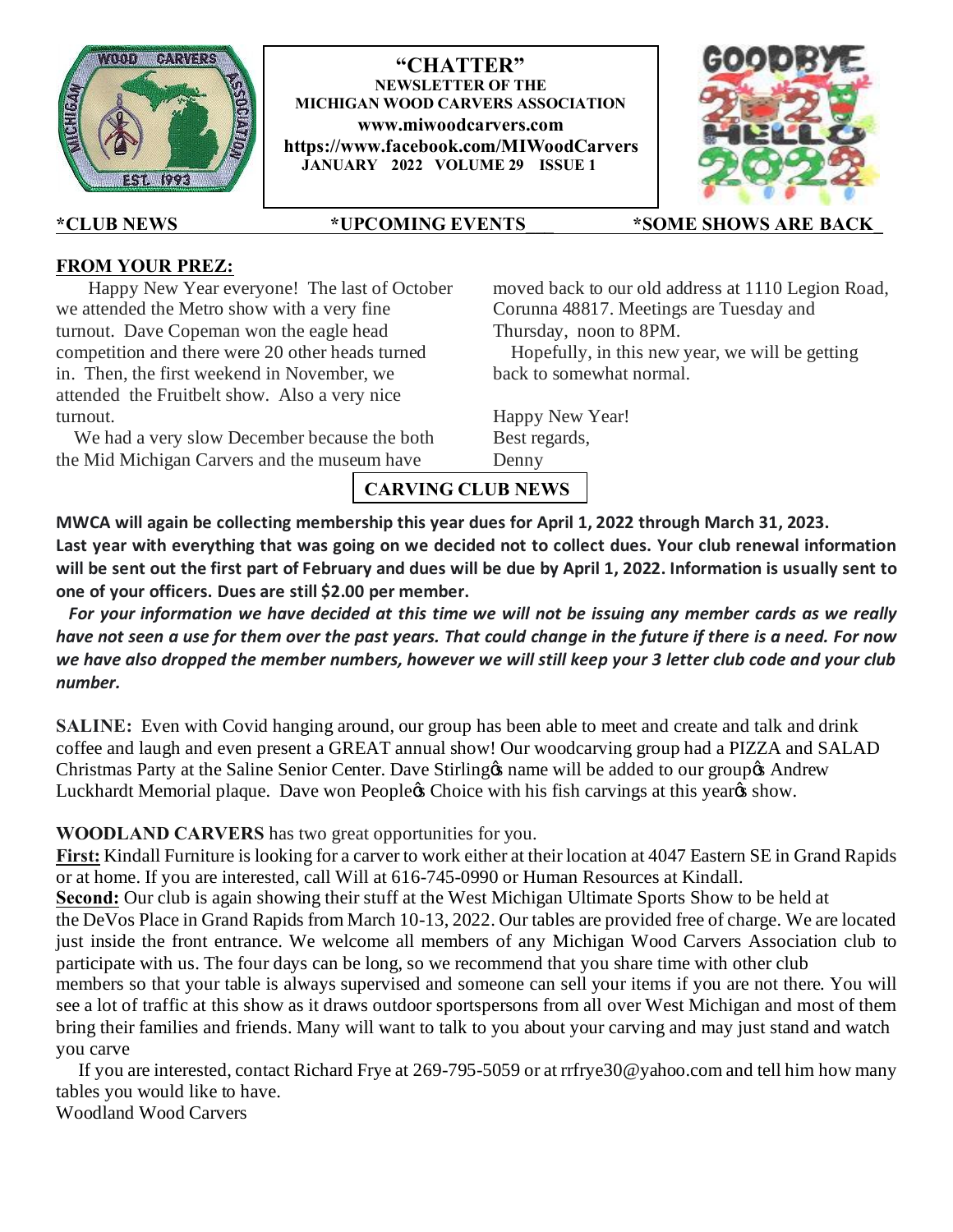

**"CHATTER" NEWSLETTER OF THE MICHIGAN WOOD CARVERS ASSOCIATION www.miwoodcarvers.com https://www.facebook.com/MIWoodCarvers JANUARY 2022 VOLUME 29 ISSUE 1**



**\*CLUB NEWS \*UPCOMING EVENTS\_\_\_ \*SOME SHOWS ARE BACK\_** 

## **FROM YOUR PREZ:**

Happy New Year everyone! The last of October we attended the Metro show with a very fine turnout. Dave Copeman won the eagle head competition and there were 20 other heads turned in. Then, the first weekend in November, we attended the Fruitbelt show. Also a very nice turnout.

 We had a very slow December because the both the Mid Michigan Carvers and the museum have

moved back to our old address at 1110 Legion Road, Corunna 48817. Meetings are Tuesday and Thursday, noon to 8PM.

 Hopefully, in this new year, we will be getting back to somewhat normal.

Happy New Year! Best regards, Denny

**CARVING CLUB NEWS**

**MWCA will again be collecting membership this year dues for April 1, 2022 through March 31, 2023. Last year with everything that was going on we decided not to collect dues. Your club renewal information will be sent out the first part of February and dues will be due by April 1, 2022. Information is usually sent to one of your officers. Dues are still \$2.00 per member.**

 *For your information we have decided at this time we will not be issuing any member cards as we really have not seen a use for them over the past years. That could change in the future if there is a need. For now we have also dropped the member numbers, however we will still keep your 3 letter club code and your club number.*

**SALINE:** Even with Covid hanging around, our group has been able to meet and create and talk and drink coffee and laugh and even present a GREAT annual show! Our woodcarving group had a PIZZA and SALAD Christmas Party at the Saline Senior Center. Dave Stirling to name will be added to our group of Andrew Luckhardt Memorial plaque. Dave won Peopleos Choice with his fish carvings at this year os show.

**WOODLAND CARVERS** has two great opportunities for you.

**First:** Kindall Furniture is looking for a carver to work either at their location at 4047 Eastern SE in Grand Rapids or at home. If you are interested, call Will at 616-745-0990 or Human Resources at Kindall. **Second:** Our club is again showing their stuff at the West Michigan Ultimate Sports Show to be held at the DeVos Place in Grand Rapids from March 10-13, 2022. Our tables are provided free of charge. We are located just inside the front entrance. We welcome all members of any Michigan Wood Carvers Association club to participate with us. The four days can be long, so we recommend that you share time with other club members so that your table is always supervised and someone can sell your items if you are not there. You will see a lot of traffic at this show as it draws outdoor sportspersons from all over West Michigan and most of them bring their families and friends. Many will want to talk to you about your carving and may just stand and watch you carve

 If you are interested, contact Richard Frye at 269-795-5059 or at rrfrye30@yahoo.com and tell him how many tables you would like to have.

Woodland Wood Carvers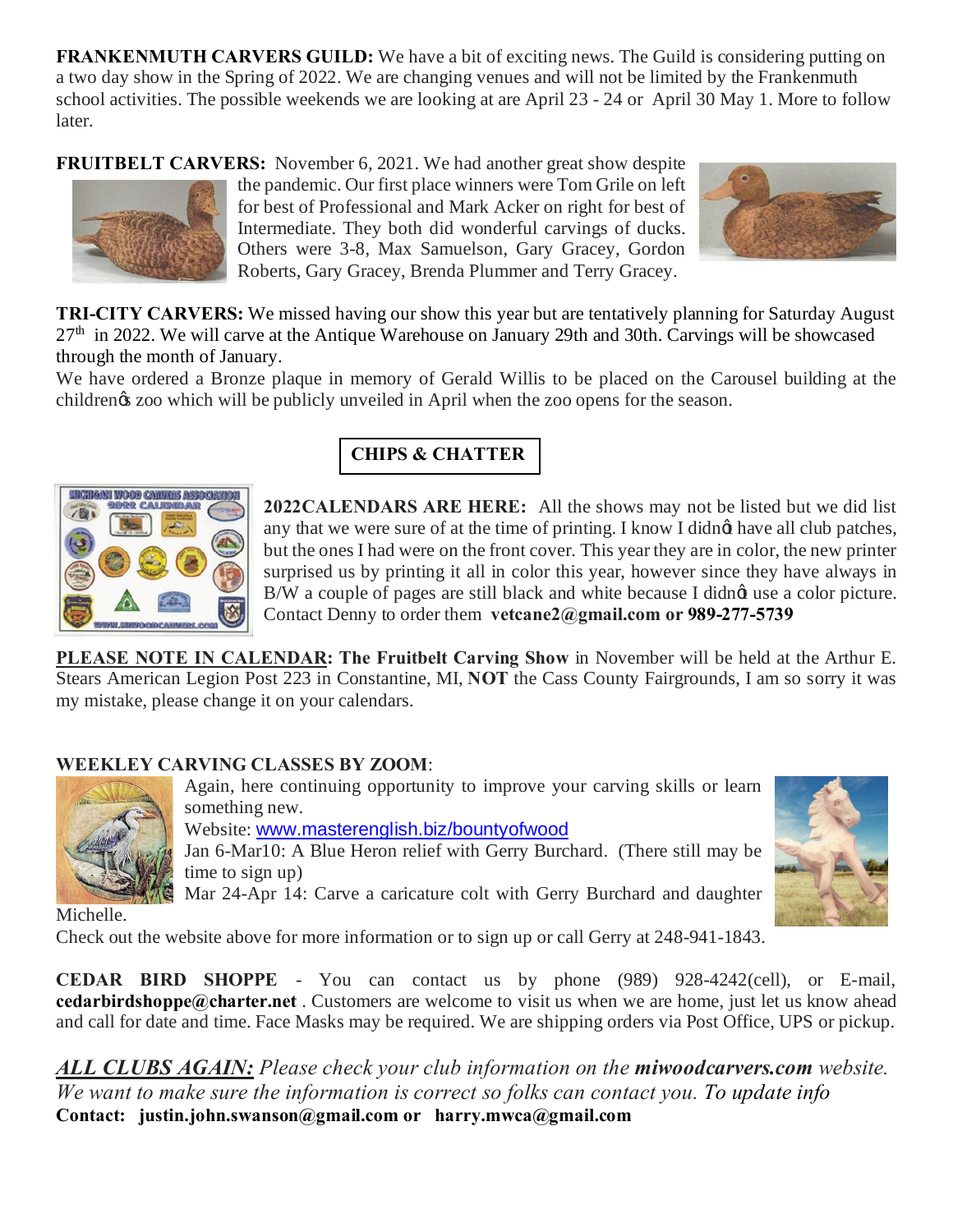**FRANKENMUTH CARVERS GUILD:** We have a bit of exciting news. The Guild is considering putting on a two day show in the Spring of 2022. We are changing venues and will not be limited by the Frankenmuth school activities. The possible weekends we are looking at are April 23 - 24 or April 30 May 1. More to follow later.

**FRUITBELT CARVERS:** November 6, 2021. We had another great show despite



the pandemic. Our first place winners were Tom Grile on left for best of Professional and Mark Acker on right for best of Intermediate. They both did wonderful carvings of ducks. Others were 3-8, Max Samuelson, Gary Gracey, Gordon Roberts, Gary Gracey, Brenda Plummer and Terry Gracey.



**TRI-CITY CARVERS:** We missed having our show this year but are tentatively planning for Saturday August  $27<sup>th</sup>$  in 2022. We will carve at the Antique Warehouse on January 29th and 30th. Carvings will be showcased through the month of January.

We have ordered a Bronze plaque in memory of Gerald Willis to be placed on the Carousel building at the childrengs zoo which will be publicly unveiled in April when the zoo opens for the season.



# **CHIPS & CHATTER**

**2022CALENDARS ARE HERE:** All the shows may not be listed but we did list any that we were sure of at the time of printing. I know I didnet have all club patches, but the ones I had were on the front cover. This year they are in color, the new printer surprised us by printing it all in color this year, however since they have always in B/W a couple of pages are still black and white because I didnet use a color picture. Contact Denny to order them **vetcane2@gmail.com or 989-277-5739**

**PLEASE NOTE IN CALENDAR: The Fruitbelt Carving Show** in November will be held at the Arthur E. Stears American Legion Post 223 in Constantine, MI, **NOT** the Cass County Fairgrounds, I am so sorry it was my mistake, please change it on your calendars.

## **WEEKLEY CARVING CLASSES BY ZOOM**:



Again, here continuing opportunity to improve your carving skills or learn something new. Website: www.masterenglish.biz/bountyofwood Jan 6-Mar10: A Blue Heron relief with Gerry Burchard. (There still may be time to sign up) Mar 24-Apr 14: Carve a caricature colt with Gerry Burchard and daughter



Michelle.

Check out the website above for more information or to sign up or call Gerry at 248-941-1843.

**CEDAR BIRD SHOPPE** - You can contact us by phone (989) 928-4242(cell), or E-mail, **cedarbirdshoppe@charter.net** . Customers are welcome to visit us when we are home, just let us know ahead and call for date and time. Face Masks may be required. We are shipping orders via Post Office, UPS or pickup.

*ALL CLUBS AGAIN: Please check your club information on the miwoodcarvers.com website. We want to make sure the information is correct so folks can contact you. To update info*  **Contact: justin.john.swanson@gmail.com or harry.mwca@gmail.com**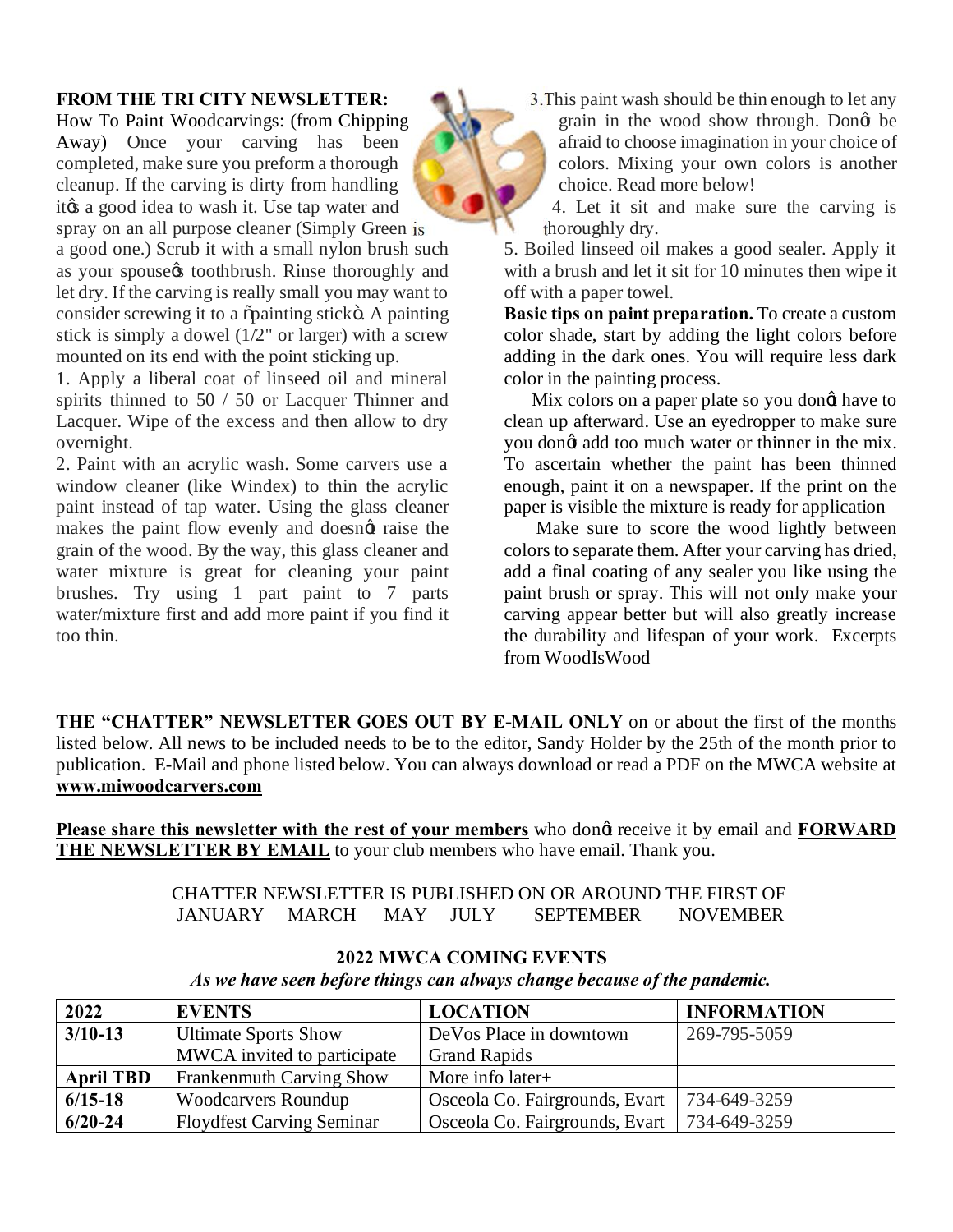### **FROM THE TRI CITY NEWSLETTER:**

How To Paint Woodcarvings: (from Chipping Away) Once your carving has been completed, make sure you preform a thorough cleanup. If the carving is dirty from handling it a good idea to wash it. Use tap water and spray on an all purpose cleaner (Simply Green is a good one.) Scrub it with a small nylon brush such as your spouse toothbrush. Rinse thoroughly and let dry. If the carving is really small you may want to consider screwing it to a  $\delta$  painting stick  $\delta$ . A painting stick is simply a dowel (1/2" or larger) with a screw mounted on its end with the point sticking up.

1. Apply a liberal coat of linseed oil and mineral spirits thinned to 50 / 50 or Lacquer Thinner and Lacquer. Wipe of the excess and then allow to dry overnight.

2. Paint with an acrylic wash. Some carvers use a window cleaner (like Windex) to thin the acrylic paint instead of tap water. Using the glass cleaner makes the paint flow evenly and doesngt raise the grain of the wood. By the way, this glass cleaner and water mixture is great for cleaning your paint brushes. Try using 1 part paint to 7 parts water/mixture first and add more paint if you find it too thin.

3.This paint wash should be thin enough to let any grain in the wood show through. Dongt be afraid to choose imagination in your choice of colors. Mixing your own colors is another choice. Read more below!

4. Let it sit and make sure the carving is thoroughly dry.

5. Boiled linseed oil makes a good sealer. Apply it with a brush and let it sit for 10 minutes then wipe it off with a paper towel.

**Basic tips on paint preparation.** To create a custom color shade, start by adding the light colors before adding in the dark ones. You will require less dark color in the painting process.

Mix colors on a paper plate so you dong have to clean up afterward. Use an eyedropper to make sure you dongt add too much water or thinner in the mix. To ascertain whether the paint has been thinned enough, paint it on a newspaper. If the print on the paper is visible the mixture is ready for application

 Make sure to score the wood lightly between colors to separate them. After your carving has dried, add a final coating of any sealer you like using the paint brush or spray. This will not only make your carving appear better but will also greatly increase the durability and lifespan of your work. Excerpts from WoodIsWood

**THE "CHATTER" NEWSLETTER GOES OUT BY E-MAIL ONLY** on or about the first of the months listed below. All news to be included needs to be to the editor, Sandy Holder by the 25th of the month prior to publication. E-Mail and phone listed below. You can always download or read a PDF on the MWCA website at **www.miwoodcarvers.com**

Please share this newsletter with the rest of your members who dong receive it by email and **FORWARD** THE NEWSLETTER BY EMAIL to your club members who have email. Thank you.

> CHATTER NEWSLETTER IS PUBLISHED ON OR AROUND THE FIRST OF JANUARY MARCH MAY JULY SEPTEMBER NOVEMBER

| 2022             | <b>EVENTS</b>                    | <b>LOCATION</b>                | <b>INFORMATION</b> |
|------------------|----------------------------------|--------------------------------|--------------------|
| $3/10-13$        | <b>Ultimate Sports Show</b>      | DeVos Place in downtown        | 269-795-5059       |
|                  | MWCA invited to participate      | <b>Grand Rapids</b>            |                    |
| <b>April TBD</b> | Frankenmuth Carving Show         | More info later+               |                    |
| $6/15-18$        | <b>Woodcarvers Roundup</b>       | Osceola Co. Fairgrounds, Evart | 734-649-3259       |
| $6/20 - 24$      | <b>Floydfest Carving Seminar</b> | Osceola Co. Fairgrounds, Evart | 734-649-3259       |

### **2022 MWCA COMING EVENTS**

*As we have seen before things can always change because of the pandemic.*